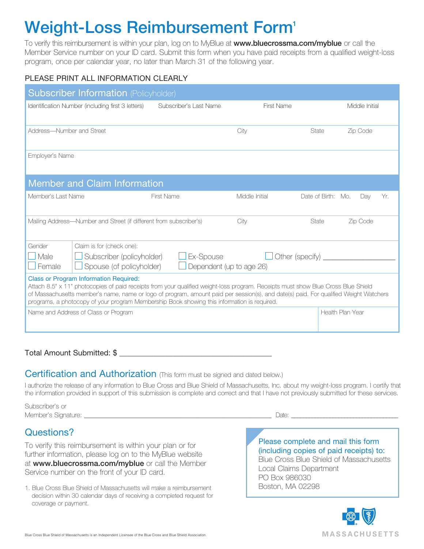## Weight-Loss Reimbursement Form<sup>1</sup>

To verify this reimbursement is within your plan, log on to MyBlue at www.bluecrossma.com/myblue or call the Member Service number on your ID card. Submit this form when you have paid receipts from a qualified weight-loss program, once per calendar year, no later than March 31 of the following year.

### PLEASE PRINT ALL INFORMATION CLEARLY

| <b>Subscriber Information (Policyholder)</b>                                                                                                                                                                                                                                                                                                                                                                              |                        |                   |                    |                  |     |
|---------------------------------------------------------------------------------------------------------------------------------------------------------------------------------------------------------------------------------------------------------------------------------------------------------------------------------------------------------------------------------------------------------------------------|------------------------|-------------------|--------------------|------------------|-----|
| Identification Number (including first 3 letters)                                                                                                                                                                                                                                                                                                                                                                         | Subscriber's Last Name | <b>First Name</b> |                    | Middle Initial   |     |
| Address-Number and Street                                                                                                                                                                                                                                                                                                                                                                                                 |                        | City              | State              | Zip Code         |     |
| Employer's Name                                                                                                                                                                                                                                                                                                                                                                                                           |                        |                   |                    |                  |     |
| <b>Member and Claim Information</b>                                                                                                                                                                                                                                                                                                                                                                                       |                        |                   |                    |                  |     |
| Member's Last Name                                                                                                                                                                                                                                                                                                                                                                                                        | <b>First Name</b>      | Middle Initial    | Date of Birth: Mo. | Day              | Yr. |
| Mailing Address—Number and Street (if different from subscriber's)                                                                                                                                                                                                                                                                                                                                                        |                        | City              | State              | Zip Code         |     |
| Gender<br>Claim is for (check one):<br>Subscriber (policyholder)<br>Other (specify) ____<br>$\Box$ Male<br>Ex-Spouse<br>Spouse (of policyholder)<br>Female<br>Dependent (up to age 26)                                                                                                                                                                                                                                    |                        |                   |                    |                  |     |
| <b>Class or Program Information Required:</b><br>Attach 8.5" x 11" photocopies of paid receipts from your qualified weight-loss program. Receipts must show Blue Cross Blue Shield<br>of Massachusetts member's name, name or logo of program, amount paid per session(s), and date(s) paid. For qualified Weight Watchers<br>programs, a photocopy of your program Membership Book showing this information is required. |                        |                   |                    |                  |     |
| Name and Address of Class or Program                                                                                                                                                                                                                                                                                                                                                                                      |                        |                   |                    | Health Plan Year |     |

#### Total Amount Submitted: \$

#### Certification and Authorization (This form must be signed and dated below.)

I authorize the release of any information to Blue Cross and Blue Shield of Massachusetts, Inc. about my weight-loss program. I certify that the information provided in support of this submission is complete and correct and that I have not previously submitted for these services.

Subscriber's or Member's Signature: \_\_\_\_\_\_\_\_\_\_\_\_\_\_\_\_\_\_\_\_\_\_\_\_\_\_\_\_\_\_\_\_\_\_\_\_\_\_\_\_\_\_\_\_\_\_\_\_\_\_\_\_\_\_\_\_\_ Date: \_\_\_\_\_\_\_\_\_\_\_\_\_\_\_\_\_\_\_\_\_\_\_\_\_\_\_\_\_\_\_\_\_\_\_\_

# Questions?

To verify this reimbursement is within your plan or for further information, please log on to the MyBlue website at www.bluecrossma.com/myblue or call the Member Service number on the front of your ID card.

1. Blue Cross Blue Shield of Massachusetts will make a reimbursement decision within 30 calendar days of receiving a completed request for coverage or payment.

Please complete and mail this form (including copies of paid receipts) to: Blue Cross Blue Shield of Massachusetts Local Claims Department PO Box 986030 Boston, MA 02298